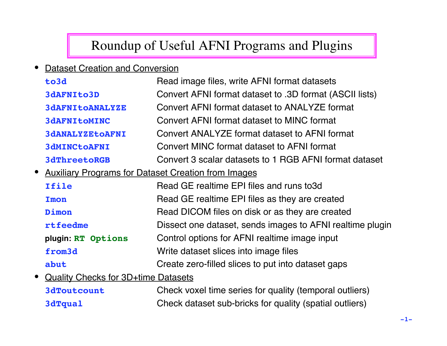# Roundup of Useful AFNI Programs and Plugins

• Dataset Creation and Conversion

|           | to3d                                                       | Read image files, write AFNI format datasets              |
|-----------|------------------------------------------------------------|-----------------------------------------------------------|
|           | <b>3dAFNIto3D</b>                                          | Convert AFNI format dataset to .3D format (ASCII lists)   |
|           | <b>3dAFNItOANALYZE</b>                                     | Convert AFNI format dataset to ANALYZE format             |
|           | <b>3dAFNItOMINC</b>                                        | Convert AFNI format dataset to MINC format                |
|           | <b>3dANALYZEtoAFNI</b>                                     | Convert ANALYZE format dataset to AFNI format             |
|           | <b>3dMINCtoAFNI</b>                                        | Convert MINC format dataset to AFNI format                |
|           | <b>3dThreetoRGB</b>                                        | Convert 3 scalar datasets to 1 RGB AFNI format dataset    |
| $\bullet$ | <b>Auxiliary Programs for Dataset Creation from Images</b> |                                                           |
|           | Ifile                                                      | Read GE realtime EPI files and runs to3d                  |
|           | Imon                                                       | Read GE realtime EPI files as they are created            |
|           | Dimon                                                      | Read DICOM files on disk or as they are created           |
|           | rtfeedme                                                   | Dissect one dataset, sends images to AFNI realtime plugin |
|           | plugin: RT Options                                         | Control options for AFNI realtime image input             |
|           | from <sub>3d</sub>                                         | Write dataset slices into image files                     |
|           | abut                                                       | Create zero-filled slices to put into dataset gaps        |
|           | • Quality Checks for 3D+time Datasets                      |                                                           |

**3dToutcount** Check voxel time series for quality (temporal outliers) **3dTqual** Check dataset sub-bricks for quality (spatial outliers)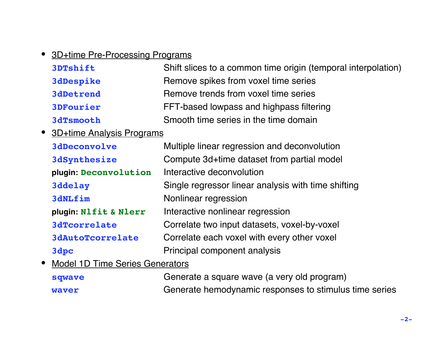#### • 3D+time Pre-Processing Programs

| <b>3DTshift</b>  | Shift slices to a common time origin (temporal interpolation) |
|------------------|---------------------------------------------------------------|
| <b>3dDespike</b> | Remove spikes from voxel time series                          |
| <b>3dDetrend</b> | Remove trends from voxel time series                          |
| <b>3DFourier</b> | FFT-based lowpass and highpass filtering                      |
| <b>3dTsmooth</b> | Smooth time series in the time domain                         |

• 3D+time Analysis Programs

| <b>3dDeconvolve</b>     | Multiple linear regression and deconvolution        |
|-------------------------|-----------------------------------------------------|
| <b>3dSynthesize</b>     | Compute 3d+time dataset from partial model          |
| plugin: Deconvolution   | Interactive deconvolution                           |
| 3ddelay                 | Single regressor linear analysis with time shifting |
| 3dNLfim                 | Nonlinear regression                                |
| plugin: Nlfit & Nlerr   | Interactive nonlinear regression                    |
| <b>3dTcorrelate</b>     | Correlate two input datasets, voxel-by-voxel        |
| <b>3dAutoTcorrelate</b> | Correlate each voxel with every other voxel         |
| 3dpc                    | Principal component analysis                        |
|                         |                                                     |

• Model 1D Time Series Generators

| sqwave       | Generate a square wave (a very old program)            |
|--------------|--------------------------------------------------------|
| <b>waver</b> | Generate hemodynamic responses to stimulus time series |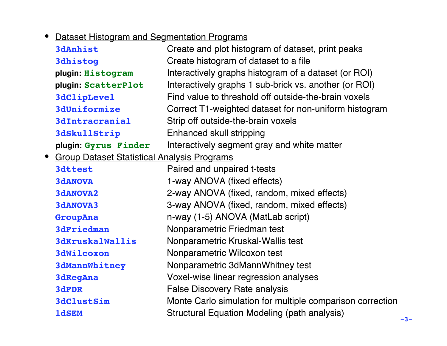## • Dataset Histogram and Segmentation Programs

| <b>3dAnhist</b>                                                 | Create and plot histogram of dataset, print peaks         |
|-----------------------------------------------------------------|-----------------------------------------------------------|
| <b>3dhistog</b>                                                 | Create histogram of dataset to a file                     |
| plugin: Histogram                                               | Interactively graphs histogram of a dataset (or ROI)      |
| plugin: ScatterPlot                                             | Interactively graphs 1 sub-brick vs. another (or ROI)     |
| <b>3dClipLevel</b>                                              | Find value to threshold off outside-the-brain voxels      |
| <b>3dUniformize</b>                                             | Correct T1-weighted dataset for non-uniform histogram     |
| <b>3dIntracranial</b>                                           | Strip off outside-the-brain voxels                        |
| <b>3dSkullStrip</b>                                             | Enhanced skull stripping                                  |
| plugin: Gyrus Finder                                            | Interactively segment gray and white matter               |
| <b>Group Dataset Statistical Analysis Programs</b><br>$\bullet$ |                                                           |
| 3dttest                                                         | Paired and unpaired t-tests                               |
| <b>3dANOVA</b>                                                  | 1-way ANOVA (fixed effects)                               |
| <b>3dANOVA2</b>                                                 | 2-way ANOVA (fixed, random, mixed effects)                |
| <b>3dANOVA3</b>                                                 | 3-way ANOVA (fixed, random, mixed effects)                |
| GroupAna                                                        | n-way (1-5) ANOVA (MatLab script)                         |
| <b>3dFriedman</b>                                               | Nonparametric Friedman test                               |
| <b>3dKruskalWallis</b>                                          | Nonparametric Kruskal-Wallis test                         |
| <b>3dWilcoxon</b>                                               | Nonparametric Wilcoxon test                               |
| <b>3dMannWhitney</b>                                            | Nonparametric 3dMannWhitney test                          |
| <b>3dRegAna</b>                                                 | Voxel-wise linear regression analyses                     |
| 3dFDR                                                           | <b>False Discovery Rate analysis</b>                      |
| <b>3dClustSim</b>                                               | Monte Carlo simulation for multiple comparison correction |
| <b>1dSEM</b>                                                    | <b>Structural Equation Modeling (path analysis)</b>       |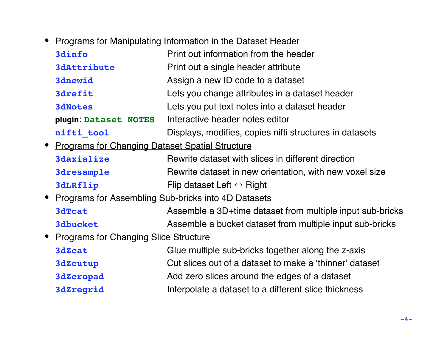• Programs for Manipulating Information in the Dataset Header

| 3dinfo                                                | Print out information from the header                     |
|-------------------------------------------------------|-----------------------------------------------------------|
| <b>3dAttribute</b>                                    | Print out a single header attribute                       |
| <b>3dnewid</b>                                        | Assign a new ID code to a dataset                         |
| <b>3drefit</b>                                        | Lets you change attributes in a dataset header            |
| <b>3dNotes</b>                                        | Lets you put text notes into a dataset header             |
| plugin: Dataset NOTES                                 | Interactive header notes editor                           |
| nifti tool                                            | Displays, modifies, copies nifti structures in datasets   |
| • Programs for Changing Dataset Spatial Structure     |                                                           |
| <b>3daxialize</b>                                     | Rewrite dataset with slices in different direction        |
| <b>3dresample</b>                                     | Rewrite dataset in new orientation, with new voxel size   |
| <b>3dLRflip</b>                                       | Flip dataset Left $\leftrightarrow$ Right                 |
| • Programs for Assembling Sub-bricks into 4D Datasets |                                                           |
| <b>3dTcat</b>                                         | Assemble a 3D+time dataset from multiple input sub-bricks |
| <b>3dbucket</b>                                       | Assemble a bucket dataset from multiple input sub-bricks  |
| • Programs for Changing Slice Structure               |                                                           |
| <b>3dZcat</b>                                         | Glue multiple sub-bricks together along the z-axis        |
| <b>3dZcutup</b>                                       | Cut slices out of a dataset to make a 'thinner' dataset   |
| <b>3dZeropad</b>                                      | Add zero slices around the edges of a dataset             |
| <b>3dZregrid</b>                                      | Interpolate a dataset to a different slice thickness      |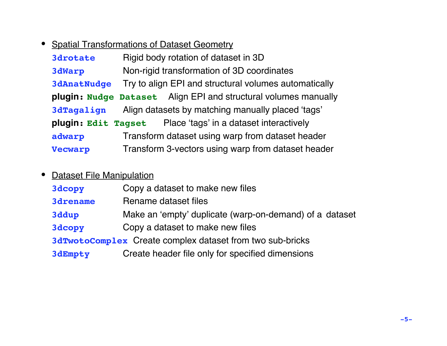## • Spatial Transformations of Dataset Geometry

| <b>3drotate</b>     | Rigid body rotation of dataset in 3D                                   |
|---------------------|------------------------------------------------------------------------|
| <b>3dWarp</b>       | Non-rigid transformation of 3D coordinates                             |
| <b>3dAnatNudge</b>  | Try to align EPI and structural volumes automatically                  |
|                     | <b>plugin: Nudge Dataset</b> Align EPI and structural volumes manually |
| <b>3dTagalign</b>   | Align datasets by matching manually placed 'tags'                      |
| plugin: Edit Tagset | Place 'tags' in a dataset interactively                                |
| adwarp              | Transform dataset using warp from dataset header                       |
| <b>Vecwarp</b>      | Transform 3-vectors using warp from dataset header                     |

#### • Dataset File Manipulation

| 3dcopy          | Copy a dataset to make new files                          |
|-----------------|-----------------------------------------------------------|
| <b>3drename</b> | Rename dataset files                                      |
| 3ddup           | Make an 'empty' duplicate (warp-on-demand) of a dataset   |
| 3dcopy          | Copy a dataset to make new files                          |
|                 | 3dTwotoComplex Create complex dataset from two sub-bricks |
| 3dEmpty         | Create header file only for specified dimensions          |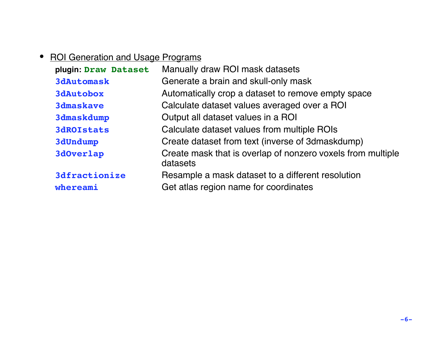#### • ROI Generation and Usage Programs

| plugin: Draw Dataset | Manually draw ROI mask datasets                                         |
|----------------------|-------------------------------------------------------------------------|
| <b>3dAutomask</b>    | Generate a brain and skull-only mask                                    |
| <b>3dAutobox</b>     | Automatically crop a dataset to remove empty space                      |
| <b>3dmaskave</b>     | Calculate dataset values averaged over a ROI                            |
| <b>3dmaskdump</b>    | Output all dataset values in a ROI                                      |
| <b>3dROIStats</b>    | Calculate dataset values from multiple ROIs                             |
| <b>3dUndump</b>      | Create dataset from text (inverse of 3dmaskdump)                        |
| 3dOverlap            | Create mask that is overlap of nonzero voxels from multiple<br>datasets |
| <b>3dfractionize</b> | Resample a mask dataset to a different resolution                       |
| whereami             | Get atlas region name for coordinates                                   |
|                      |                                                                         |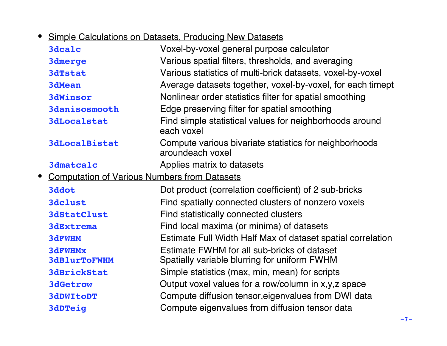• Simple Calculations on Datasets, Producing New Datasets

| Voxel-by-voxel general purpose calculator                                  |
|----------------------------------------------------------------------------|
| Various spatial filters, thresholds, and averaging                         |
| Various statistics of multi-brick datasets, voxel-by-voxel                 |
| Average datasets together, voxel-by-voxel, for each timept                 |
| Nonlinear order statistics filter for spatial smoothing                    |
| Edge preserving filter for spatial smoothing                               |
| Find simple statistical values for neighborhoods around<br>each voxel      |
| Compute various bivariate statistics for neighborhoods<br>aroundeach voxel |
| Applies matrix to datasets                                                 |
| <b>Computation of Various Numbers from Datasets</b>                        |
| Dot product (correlation coefficient) of 2 sub-bricks                      |
| Find spatially connected clusters of nonzero voxels                        |
| Find statistically connected clusters                                      |
| Find local maxima (or minima) of datasets                                  |
| Estimate Full Width Half Max of dataset spatial correlation                |
| Estimate FWHM for all sub-bricks of dataset                                |
| Spatially variable blurring for uniform FWHM                               |
| Simple statistics (max, min, mean) for scripts                             |
| Output voxel values for a row/column in x,y,z space                        |
| Compute diffusion tensor, eigenvalues from DWI data                        |
| Compute eigenvalues from diffusion tensor data                             |
|                                                                            |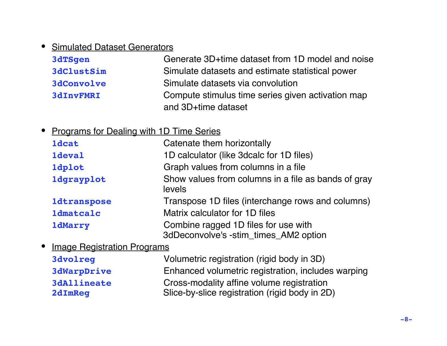#### • Simulated Dataset Generators

| 3dTSgen           | Generate 3D+time dataset from 1D model and noise  |
|-------------------|---------------------------------------------------|
| <b>3dClustSim</b> | Simulate datasets and estimate statistical power  |
| <b>3dConvolve</b> | Simulate datasets via convolution                 |
| <b>3dInvFMRI</b>  | Compute stimulus time series given activation map |
|                   | and 3D+time dataset                               |

#### • Programs for Dealing with 1D Time Series

| <b>1dcat</b>       | Catenate them horizontally                                                    |
|--------------------|-------------------------------------------------------------------------------|
| <b>1deval</b>      | 1D calculator (like 3dcalc for 1D files)                                      |
| <b>1dplot</b>      | Graph values from columns in a file                                           |
| <b>1dgrayplot</b>  | Show values from columns in a file as bands of gray<br>levels                 |
| <b>1dtranspose</b> | Transpose 1D files (interchange rows and columns)                             |
| <b>1dmatcalc</b>   | Matrix calculator for 1D files                                                |
| <b>1dMarry</b>     | Combine ragged 1D files for use with<br>3dDeconvolve's -stim_times_AM2 option |

• Image Registration Programs

| <b>3dvolreg</b>               | Volumetric registration (rigid body in 3D)                                                  |
|-------------------------------|---------------------------------------------------------------------------------------------|
| <b>3dWarpDrive</b>            | Enhanced volumetric registration, includes warping                                          |
| <b>3dAllineate</b><br>2dImReq | Cross-modality affine volume registration<br>Slice-by-slice registration (rigid body in 2D) |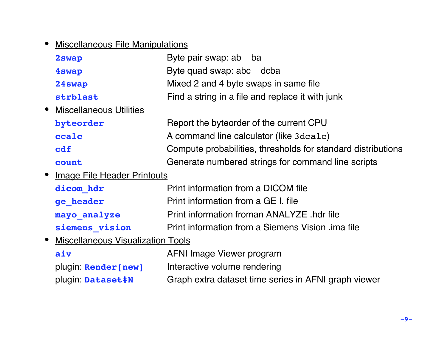## • Miscellaneous File Manipulations

| 2swap                               | Byte pair swap: ab ba                                        |  |
|-------------------------------------|--------------------------------------------------------------|--|
| 4swap                               | Byte quad swap: abc dcba                                     |  |
| 24swap                              | Mixed 2 and 4 byte swaps in same file                        |  |
| strblast                            | Find a string in a file and replace it with junk             |  |
| • Miscellaneous Utilities           |                                                              |  |
| byteorder                           | Report the byteorder of the current CPU                      |  |
| ccalc                               | A command line calculator (like 3dca1c)                      |  |
| cdf                                 | Compute probabilities, thresholds for standard distributions |  |
| count                               | Generate numbered strings for command line scripts           |  |
| • Image File Header Printouts       |                                                              |  |
| dicom hdr                           | Print information from a DICOM file                          |  |
| ge header                           | Print information from a GE I. file                          |  |
| mayo analyze                        | Print information froman ANALYZE .hdr file                   |  |
| siemens vision                      | Print information from a Siemens Vision .ima file            |  |
| • Miscellaneous Visualization Tools |                                                              |  |

| aiv                  | AFNI Image Viewer program                            |
|----------------------|------------------------------------------------------|
| plugin: Render [new] | Interactive volume rendering                         |
| plugin: Dataset#N    | Graph extra dataset time series in AFNI graph viewer |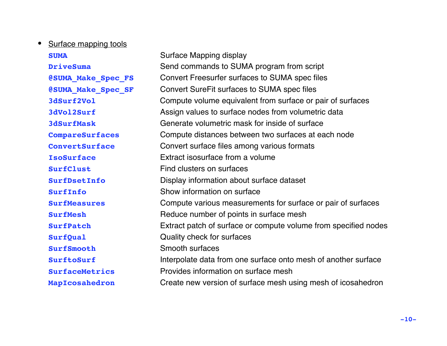#### • Surface mapping tools

| <b>SUMA</b>               | Surface Mapping display                                         |
|---------------------------|-----------------------------------------------------------------|
| <b>DriveSuma</b>          | Send commands to SUMA program from script                       |
| <b>@SUMA Make Spec FS</b> | Convert Freesurfer surfaces to SUMA spec files                  |
| <b>@SUMA Make Spec SF</b> | Convert SureFit surfaces to SUMA spec files                     |
| 3dSurf2Vol                | Compute volume equivalent from surface or pair of surfaces      |
| 3dVol2Surf                | Assign values to surface nodes from volumetric data             |
| <b>3dSurfMask</b>         | Generate volumetric mask for inside of surface                  |
| CompareSurfaces           | Compute distances between two surfaces at each node             |
| <b>ConvertSurface</b>     | Convert surface files among various formats                     |
| <b>IsoSurface</b>         | Extract isosurface from a volume                                |
| SurfClust                 | Find clusters on surfaces                                       |
| SurfDsetInfo              | Display information about surface dataset                       |
| SurfInfo                  | Show information on surface                                     |
| <b>SurfMeasures</b>       | Compute various measurements for surface or pair of surfaces    |
| <b>SurfMesh</b>           | Reduce number of points in surface mesh                         |
| <b>SurfPatch</b>          | Extract patch of surface or compute volume from specified nodes |
| SurfQual                  | Quality check for surfaces                                      |
| SurfSmooth                | <b>Smooth surfaces</b>                                          |
| SurftoSurf                | Interpolate data from one surface onto mesh of another surface  |
| <b>SurfaceMetrics</b>     | Provides information on surface mesh                            |
| MapIcosahedron            | Create new version of surface mesh using mesh of icosahedron    |